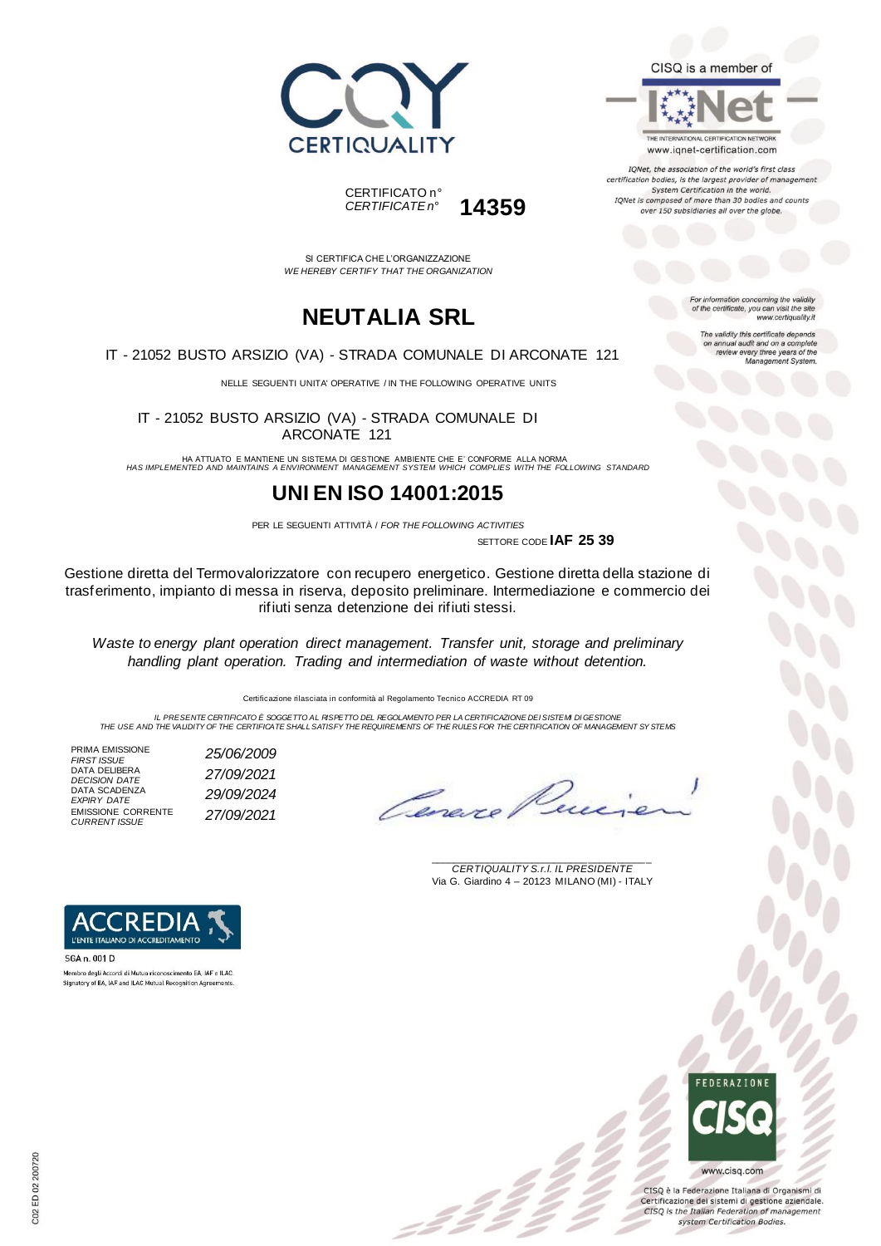

THE INTERNATIONAL CERTIFICATION NETWORK

www.iqnet-certification.com IQNet, the association of the world's first class certification bodies, is the largest provider of managen System Certification in the world. IQNet is composed of more than 30 bodies and counts over 150 subsidiaries all over the globe.





SI CERTIFICA CHE L'ORGANIZZAZIONE *WE HEREBY CERTIFY THAT THE ORGANIZATION*

### **NEUTALIA SRL**

IT - 21052 BUSTO ARSIZIO (VA) - STRADA COMUNALE DI ARCONATE 121

NELLE SEGUENTI UNITA' OPERATIVE / IN THE FOLLOWING OPERATIVE UNITS

IT - 21052 BUSTO ARSIZIO (VA) - STRADA COMUNALE DI ARCONATE 121

HA ATTUATO E MANTIENE UN SISTEMA DI GESTIONE AMBIENTE CHE E' CONFORME ALLA NORMA *HAS IMPLEMENTED AND MAINTAINS A ENVIRONMENT MANAGEMENT SYSTEM WHICH COMPLIES WITH THE FOLLOWING STANDARD*

#### **UNI EN ISO 14001:2015**

PER LE SEGUENTI ATTIVITÀ / *FOR THE FOLLOWING ACTIVITIES* SETTORE CODE **IAF 25 39**

:22

Gestione diretta del Termovalorizzatore con recupero energetico. Gestione diretta della stazione di trasferimento, impianto di messa in riserva, deposito preliminare. Intermediazione e commercio dei rifiuti senza detenzione dei rifiuti stessi.

*Waste to energy plant operation direct management. Transfer unit, storage and preliminary handling plant operation. Trading and intermediation of waste without detention.*

Certificazione rilasciata in conformità al Regolamento Tecnico ACCREDIA RT 09

IL PRESENTE CERTIFICATO E SOGGETTO AL RISPETTO DEL REGOLAMENTO PER LA CERTIFICAZIONE DEI SISTEMI DI GESTIONE<br>THE USE AND THE VALIDITY OF THE CERTIFICATE SHALL SATISFY THE REQUIREMENTS OF THE RULES FOR THE CERTIFICATION OF

PRIMA EMISSIONE<br>FIRST ISSUE DATA DELIBERA *DECISION DATE 27/09/2021* DATA SCADENZA *EXPIRY DATE 29/09/2024* EMISSIONE CORRENTE *CURRENT ISSUE 27/09/2021*

*FIRST ISSUE 25/06/2009*

Conore

\_\_\_\_\_\_\_\_\_\_\_\_\_\_\_\_\_\_\_\_\_\_\_\_\_\_\_\_\_\_\_\_\_\_\_\_\_\_\_ *CERTIQUALITY S.r.l. IL PRESIDENTE* Via G. Giardino 4 – 20123 MILANO (MI) - ITALY



Membro degli Accordi di Mutuo riconoscimento EA, IAF e ILAC Signatory of EA, IAF and ILAC Mutual Recognition Agreeme



CISQ è la Federazione Italiana di Organismi di Certificazione dei sistemi di gestione aziendale. CISQ is the Italian Federation of management system Certification Bodies.



For information concerning the validity<br>of the certificate, you can visit the site www.certiquality.it

> The validity this certificate depends on annual audit and on a complete<br>review every three years of the<br>Management System.